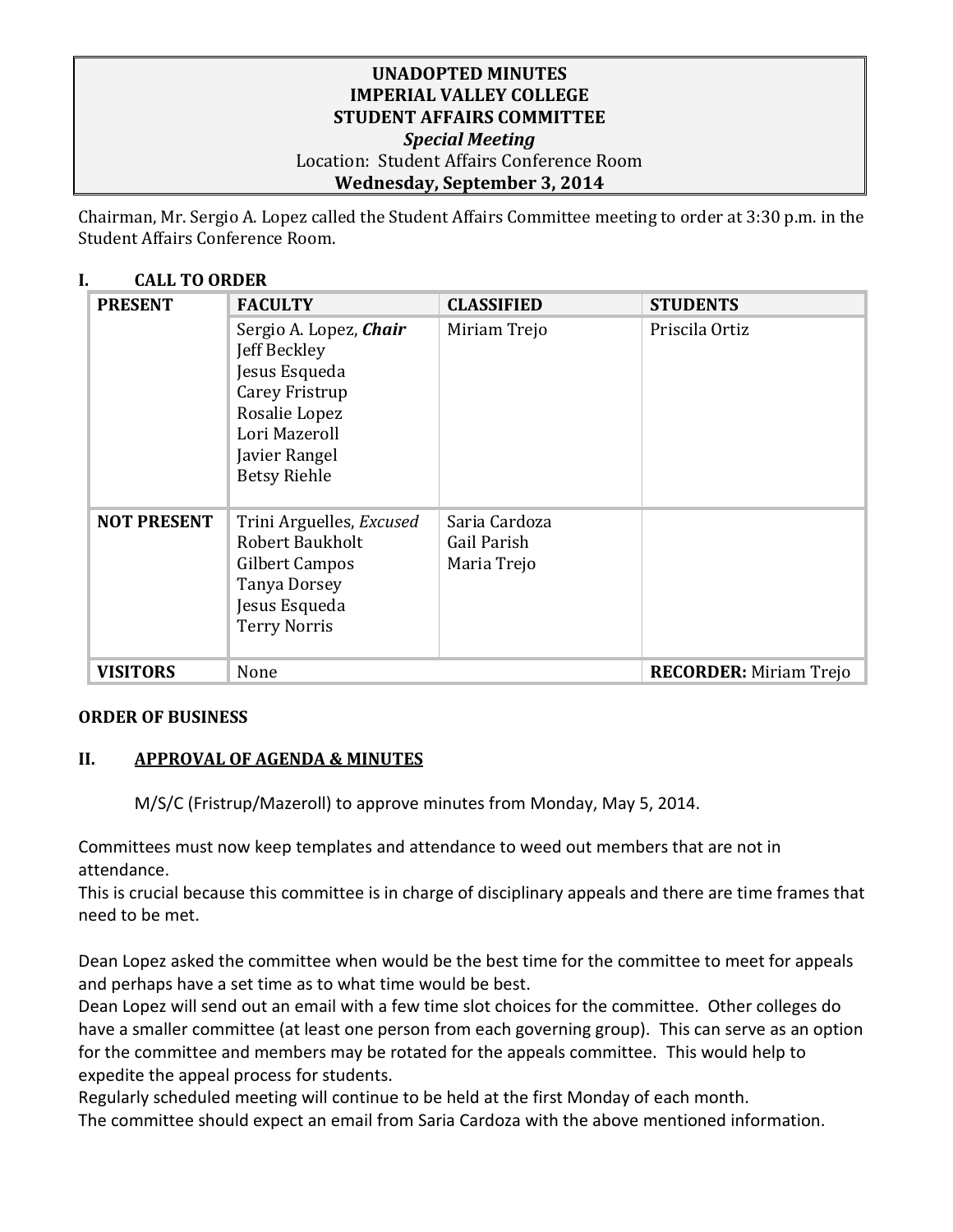## **UNADOPTED MINUTES IMPERIAL VALLEY COLLEGE STUDENT AFFAIRS COMMITTEE** *Special Meeting* Location: Student Affairs Conference Room **Wednesday, September 3, 2014**

Chairman, Mr. Sergio A. Lopez called the Student Affairs Committee meeting to order at 3:30 p.m. in the Student Affairs Conference Room.

# **I. CALL TO ORDER**

| <b>PRESENT</b>     | <b>FACULTY</b>                                                                                                                                      | <b>CLASSIFIED</b>                           | <b>STUDENTS</b>               |
|--------------------|-----------------------------------------------------------------------------------------------------------------------------------------------------|---------------------------------------------|-------------------------------|
|                    | Sergio A. Lopez, Chair<br>Jeff Beckley<br>Jesus Esqueda<br>Carey Fristrup<br>Rosalie Lopez<br>Lori Mazeroll<br>Javier Rangel<br><b>Betsy Riehle</b> | Miriam Trejo                                | Priscila Ortiz                |
| <b>NOT PRESENT</b> | Trini Arguelles, Excused<br><b>Robert Baukholt</b><br>Gilbert Campos<br><b>Tanya Dorsey</b><br>Jesus Esqueda<br><b>Terry Norris</b>                 | Saria Cardoza<br>Gail Parish<br>Maria Trejo |                               |
| <b>VISITORS</b>    | None                                                                                                                                                |                                             | <b>RECORDER:</b> Miriam Trejo |

# **ORDER OF BUSINESS**

# **II. APPROVAL OF AGENDA & MINUTES**

M/S/C (Fristrup/Mazeroll) to approve minutes from Monday, May 5, 2014.

Committees must now keep templates and attendance to weed out members that are not in attendance.

This is crucial because this committee is in charge of disciplinary appeals and there are time frames that need to be met.

Dean Lopez asked the committee when would be the best time for the committee to meet for appeals and perhaps have a set time as to what time would be best.

Dean Lopez will send out an email with a few time slot choices for the committee. Other colleges do have a smaller committee (at least one person from each governing group). This can serve as an option for the committee and members may be rotated for the appeals committee. This would help to expedite the appeal process for students.

Regularly scheduled meeting will continue to be held at the first Monday of each month. The committee should expect an email from Saria Cardoza with the above mentioned information.